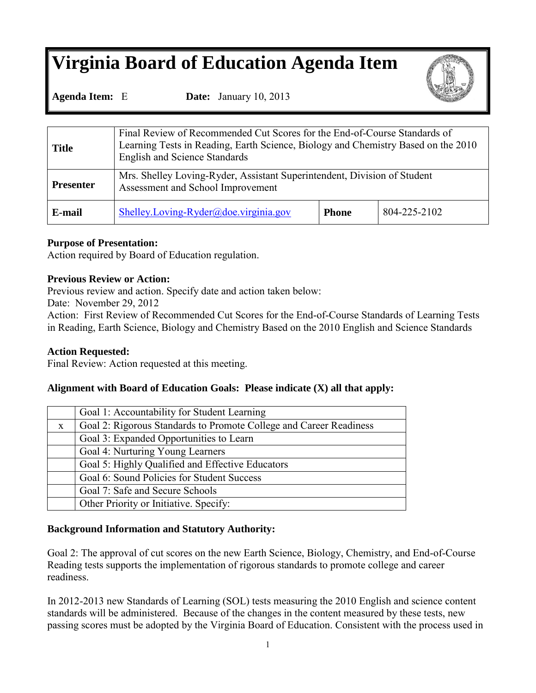# **Virginia Board of Education Agenda Item**



**Agenda Item:** E **Date:** January 10, 2013

| <b>Title</b>     | Final Review of Recommended Cut Scores for the End-of-Course Standards of<br>Learning Tests in Reading, Earth Science, Biology and Chemistry Based on the 2010<br><b>English and Science Standards</b> |              |              |  |  |  |
|------------------|--------------------------------------------------------------------------------------------------------------------------------------------------------------------------------------------------------|--------------|--------------|--|--|--|
| <b>Presenter</b> | Mrs. Shelley Loving-Ryder, Assistant Superintendent, Division of Student<br>Assessment and School Improvement                                                                                          |              |              |  |  |  |
| E-mail           | Shelley.Loving-Ryder@doe.virginia.gov                                                                                                                                                                  | <b>Phone</b> | 804-225-2102 |  |  |  |

# **Purpose of Presentation:**

Action required by Board of Education regulation.

# **Previous Review or Action:**

Previous review and action. Specify date and action taken below:

Date: November 29, 2012

Action: First Review of Recommended Cut Scores for the End-of-Course Standards of Learning Tests in Reading, Earth Science, Biology and Chemistry Based on the 2010 English and Science Standards

# **Action Requested:**

Final Review: Action requested at this meeting.

# **Alignment with Board of Education Goals: Please indicate (X) all that apply:**

|              | Goal 1: Accountability for Student Learning                        |
|--------------|--------------------------------------------------------------------|
| $\mathbf{X}$ | Goal 2: Rigorous Standards to Promote College and Career Readiness |
|              | Goal 3: Expanded Opportunities to Learn                            |
|              | Goal 4: Nurturing Young Learners                                   |
|              | Goal 5: Highly Qualified and Effective Educators                   |
|              | Goal 6: Sound Policies for Student Success                         |
|              | Goal 7: Safe and Secure Schools                                    |
|              | Other Priority or Initiative. Specify:                             |

# **Background Information and Statutory Authority:**

Goal 2: The approval of cut scores on the new Earth Science, Biology, Chemistry, and End-of-Course Reading tests supports the implementation of rigorous standards to promote college and career readiness.

In 2012-2013 new Standards of Learning (SOL) tests measuring the 2010 English and science content standards will be administered. Because of the changes in the content measured by these tests, new passing scores must be adopted by the Virginia Board of Education. Consistent with the process used in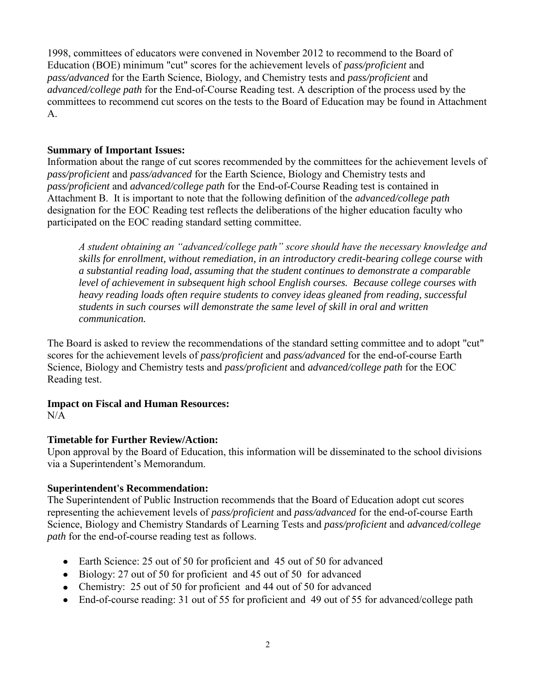1998, committees of educators were convened in November 2012 to recommend to the Board of Education (BOE) minimum "cut" scores for the achievement levels of *pass/proficient* and *pass/advanced* for the Earth Science, Biology, and Chemistry tests and *pass/proficient* and *advanced/college path* for the End-of-Course Reading test. A description of the process used by the committees to recommend cut scores on the tests to the Board of Education may be found in Attachment A.

#### **Summary of Important Issues:**

Information about the range of cut scores recommended by the committees for the achievement levels of *pass/proficient* and *pass/advanced* for the Earth Science, Biology and Chemistry tests and *pass/proficient* and *advanced/college path* for the End-of-Course Reading test is contained in Attachment B. It is important to note that the following definition of the *advanced/college path* designation for the EOC Reading test reflects the deliberations of the higher education faculty who participated on the EOC reading standard setting committee.

*A student obtaining an "advanced/college path" score should have the necessary knowledge and skills for enrollment, without remediation, in an introductory credit-bearing college course with a substantial reading load, assuming that the student continues to demonstrate a comparable level of achievement in subsequent high school English courses. Because college courses with heavy reading loads often require students to convey ideas gleaned from reading, successful students in such courses will demonstrate the same level of skill in oral and written communication.* 

The Board is asked to review the recommendations of the standard setting committee and to adopt "cut" scores for the achievement levels of *pass/proficient* and *pass/advanced* for the end-of-course Earth Science, Biology and Chemistry tests and *pass/proficient* and *advanced/college path* for the EOC Reading test.

# **Impact on Fiscal and Human Resources:**

 $N/A$ 

# **Timetable for Further Review/Action:**

Upon approval by the Board of Education, this information will be disseminated to the school divisions via a Superintendent's Memorandum.

# **Superintendent's Recommendation:**

The Superintendent of Public Instruction recommends that the Board of Education adopt cut scores representing the achievement levels of *pass/proficient* and *pass/advanced* for the end-of-course Earth Science, Biology and Chemistry Standards of Learning Tests and *pass/proficient* and *advanced/college path* for the end-of-course reading test as follows.

- Earth Science: 25 out of 50 for proficient and 45 out of 50 for advanced
- Biology: 27 out of 50 for proficient and 45 out of 50 for advanced
- Chemistry: 25 out of 50 for proficient and 44 out of 50 for advanced
- End-of-course reading: 31 out of 55 for proficient and 49 out of 55 for advanced/college path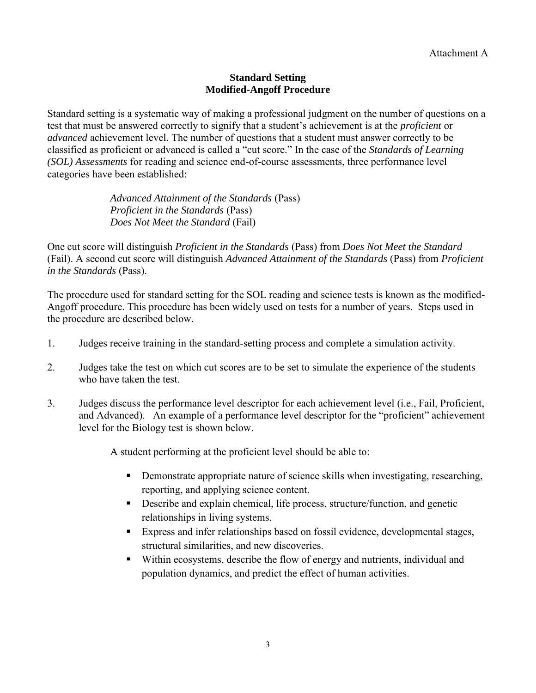#### **Standard Setting Modified-Angoff Procedure**

Standard setting is a systematic way of making a professional judgment on the number of questions on a test that must be answered correctly to signify that a student's achievement is at the *proficient* or *advanced* achievement level. The number of questions that a student must answer correctly to be classified as proficient or advanced is called a "cut score." In the case of the *Standards of Learning (SOL) Assessments* for reading and science end-of-course assessments, three performance level categories have been established:

> *Advanced Attainment of the Standards* (Pass) *Proficient in the Standards* (Pass) *Does Not Meet the Standard* (Fail)

One cut score will distinguish *Proficient in the Standards* (Pass) from *Does Not Meet the Standard*  (Fail). A second cut score will distinguish *Advanced Attainment of the Standards* (Pass) from *Proficient in the Standards* (Pass).

The procedure used for standard setting for the SOL reading and science tests is known as the modified-Angoff procedure. This procedure has been widely used on tests for a number of years. Steps used in the procedure are described below.

- 1. Judges receive training in the standard-setting process and complete a simulation activity.
- 2. Judges take the test on which cut scores are to be set to simulate the experience of the students who have taken the test.
- 3. Judges discuss the performance level descriptor for each achievement level (i.e., Fail, Proficient, and Advanced). An example of a performance level descriptor for the "proficient" achievement level for the Biology test is shown below.

A student performing at the proficient level should be able to:

- Demonstrate appropriate nature of science skills when investigating, researching, reporting, and applying science content.
- Describe and explain chemical, life process, structure/function, and genetic relationships in living systems.
- Express and infer relationships based on fossil evidence, developmental stages, structural similarities, and new discoveries.
- Within ecosystems, describe the flow of energy and nutrients, individual and population dynamics, and predict the effect of human activities.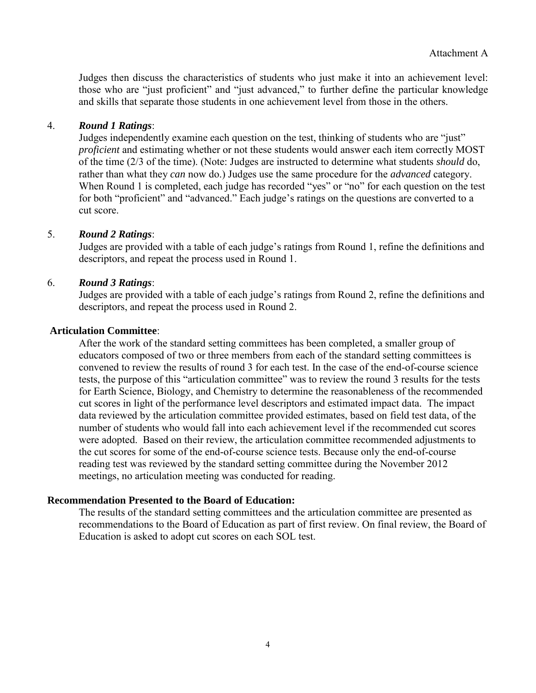Judges then discuss the characteristics of students who just make it into an achievement level: those who are "just proficient" and "just advanced," to further define the particular knowledge and skills that separate those students in one achievement level from those in the others.

#### 4. *Round 1 Ratings*:

Judges independently examine each question on the test, thinking of students who are "just" *proficient* and estimating whether or not these students would answer each item correctly MOST of the time (2/3 of the time). (Note: Judges are instructed to determine what students *should* do, rather than what they *can* now do.) Judges use the same procedure for the *advanced* category. When Round 1 is completed, each judge has recorded "yes" or "no" for each question on the test for both "proficient" and "advanced." Each judge's ratings on the questions are converted to a cut score.

#### 5. *Round 2 Ratings*:

Judges are provided with a table of each judge's ratings from Round 1, refine the definitions and descriptors, and repeat the process used in Round 1.

#### 6. *Round 3 Ratings*:

Judges are provided with a table of each judge's ratings from Round 2, refine the definitions and descriptors, and repeat the process used in Round 2.

#### **Articulation Committee**:

 After the work of the standard setting committees has been completed, a smaller group of educators composed of two or three members from each of the standard setting committees is convened to review the results of round 3 for each test. In the case of the end-of-course science tests, the purpose of this "articulation committee" was to review the round 3 results for the tests for Earth Science, Biology, and Chemistry to determine the reasonableness of the recommended cut scores in light of the performance level descriptors and estimated impact data. The impact data reviewed by the articulation committee provided estimates, based on field test data, of the number of students who would fall into each achievement level if the recommended cut scores were adopted. Based on their review, the articulation committee recommended adjustments to the cut scores for some of the end-of-course science tests. Because only the end-of-course reading test was reviewed by the standard setting committee during the November 2012 meetings, no articulation meeting was conducted for reading.

#### **Recommendation Presented to the Board of Education:**

 The results of the standard setting committees and the articulation committee are presented as recommendations to the Board of Education as part of first review. On final review, the Board of Education is asked to adopt cut scores on each SOL test.